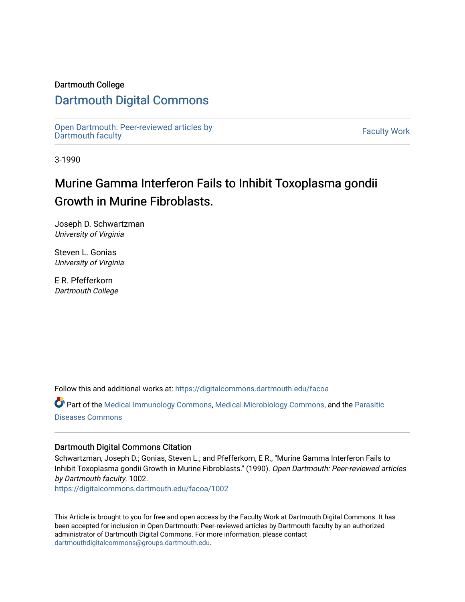#### Dartmouth College

### [Dartmouth Digital Commons](https://digitalcommons.dartmouth.edu/)

[Open Dartmouth: Peer-reviewed articles by](https://digitalcommons.dartmouth.edu/facoa)  Open Dartmouth Feel-Teviewed articles by<br>[Dartmouth faculty](https://digitalcommons.dartmouth.edu/facoa)

3-1990

# Murine Gamma Interferon Fails to Inhibit Toxoplasma gondii Growth in Murine Fibroblasts.

Joseph D. Schwartzman University of Virginia

Steven L. Gonias University of Virginia

E R. Pfefferkorn Dartmouth College

Follow this and additional works at: [https://digitalcommons.dartmouth.edu/facoa](https://digitalcommons.dartmouth.edu/facoa?utm_source=digitalcommons.dartmouth.edu%2Ffacoa%2F1002&utm_medium=PDF&utm_campaign=PDFCoverPages)

Part of the [Medical Immunology Commons,](http://network.bepress.com/hgg/discipline/671?utm_source=digitalcommons.dartmouth.edu%2Ffacoa%2F1002&utm_medium=PDF&utm_campaign=PDFCoverPages) [Medical Microbiology Commons](http://network.bepress.com/hgg/discipline/672?utm_source=digitalcommons.dartmouth.edu%2Ffacoa%2F1002&utm_medium=PDF&utm_campaign=PDFCoverPages), and the [Parasitic](http://network.bepress.com/hgg/discipline/983?utm_source=digitalcommons.dartmouth.edu%2Ffacoa%2F1002&utm_medium=PDF&utm_campaign=PDFCoverPages) [Diseases Commons](http://network.bepress.com/hgg/discipline/983?utm_source=digitalcommons.dartmouth.edu%2Ffacoa%2F1002&utm_medium=PDF&utm_campaign=PDFCoverPages) 

### Dartmouth Digital Commons Citation

Schwartzman, Joseph D.; Gonias, Steven L.; and Pfefferkorn, E R., "Murine Gamma Interferon Fails to Inhibit Toxoplasma gondii Growth in Murine Fibroblasts." (1990). Open Dartmouth: Peer-reviewed articles by Dartmouth faculty. 1002.

[https://digitalcommons.dartmouth.edu/facoa/1002](https://digitalcommons.dartmouth.edu/facoa/1002?utm_source=digitalcommons.dartmouth.edu%2Ffacoa%2F1002&utm_medium=PDF&utm_campaign=PDFCoverPages) 

This Article is brought to you for free and open access by the Faculty Work at Dartmouth Digital Commons. It has been accepted for inclusion in Open Dartmouth: Peer-reviewed articles by Dartmouth faculty by an authorized administrator of Dartmouth Digital Commons. For more information, please contact [dartmouthdigitalcommons@groups.dartmouth.edu](mailto:dartmouthdigitalcommons@groups.dartmouth.edu).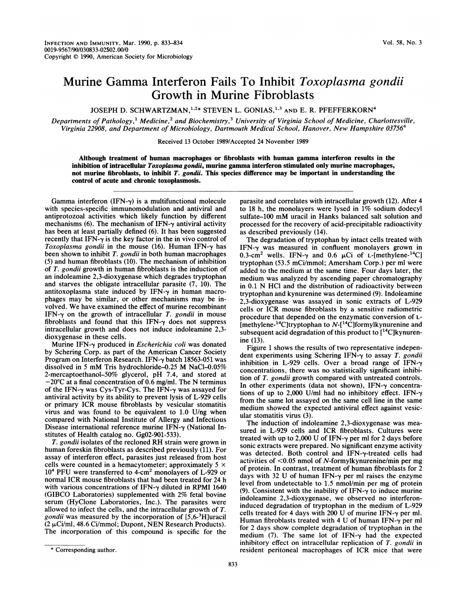## Murine Gamma Interferon Fails To Inhibit Toxoplasma gondii Growth in Murine Fibroblasts

JOSEPH D. SCHWARTZMAN,<sup>1,2\*</sup> STEVEN L. GONIAS,<sup>1,3</sup> AND E. R. PFEFFERKORN<sup>4</sup>

Departments of Pathology,<sup>1</sup> Medicine,<sup>2</sup> and Biochemistry,<sup>3</sup> University of Virginia School of Medicine, Charlottesville, Virginia 22908, and Department of Microbiology, Dartmouth Medical School, Hanover, New Hampshire 03756<sup>4</sup>

Received 13 October 1989/Accepted 24 November 1989

Although treatment of human macrophages or fibroblasts with human gamma interferon results in the inhibition of intracellular Toxoplasma gondii, murine gamma interferon stimulated only murine macrophages, not murine fibroblasts, to inhibit T. gondii. This species difference may be important in understanding the control of acute and chronic toxoplasmosis.

Gamma interferon  $(IFN-\gamma)$  is a multifunctional molecule with species-specific immunomodulation and antiviral and antiprotozoal activities which likely function by different mechanisms (6). The mechanism of IFN- $\gamma$  antiviral activity has been at least partially defined (6). It has been suggested recently that IFN- $\gamma$  is the key factor in the in vivo control of Toxoplasma gondii in the mouse  $(16)$ . Human IFN- $\gamma$  has been shown to inhibit T. gondii in both human macrophages (5) and human fibroblasts (10). The mechanism of inhibition of T. gondii growth in human fibroblasts is the induction of an indoleamine 2,3-dioxygenase which degrades tryptophan and starves the obligate intracellular parasite (7, 10). The antitoxoplasma state induced by IFN- $\gamma$  in human macrophages may be similar, or other mechanisms may be involved. We have examined the effect of murine recombinant IFN- $\gamma$  on the growth of intracellular T. gondii in mouse fibroblasts and found that this IFN- $\gamma$  does not suppress intracellular growth and does not induce indoleamine 2,3 dioxygenase in these cells.

Murine IFN- $\gamma$  produced in *Escherichia coli* was donated by Schering Corp. as part of the American Cancer Society Program on Interferon Research. IFN- $\gamma$  batch 18563-051 was dissolved in <sup>5</sup> mM Tris hydrochloride-0.25 M NaCl-0.05% 2-mercaptoethanol-50% glycerol, pH 7.4, and stored at  $-20^{\circ}$ C at a final concentration of 0.6 mg/ml. The N terminus of the IFN- $\gamma$  was Cys-Tyr-Cys. The IFN- $\gamma$  was assayed for antiviral activity by its ability to prevent lysis of L-929 cells or primary ICR mouse fibroblasts by vesicular stomatitis virus and was found to be equivalent to 1.0 U/ng when compared with National Institute of Allergy and Infectious Disease international reference murine IFN- $\gamma$  (National Institutes of Health catalog no. GgO2-901-533).

T. gondii isolates of the recloned RH strain were grown in human foreskin fibroblasts as described previously (11). For assay of interferon effect, parasites just released from host cells were counted in a hemacytometer; approximately  $5 \times$ <sup>104</sup> PFU were transferred to 4-cm2 monolayers of L-929 or normal ICR mouse fibroblasts that had been treated for 24 h with various concentrations of IFN- $\gamma$  diluted in RPMI 1640 (GIBCO Laboratories) supplemented with 2% fetal bovine serum (HyClone Laboratories, Inc.). The parasites were allowed to infect the cells, and the intracellular growth of T. *gondii* was measured by the incorporation of  $[5,6^{-3}H]$ uracil  $(2 \mu\text{Ci/ml}, 48.6 \text{Ci/mmol};$  Dupont, NEN Research Products). The incorporation of this compound is specific for the

parasite and correlates with intracellular growth (12). After 4 to <sup>18</sup> h, the monolayers were lysed in 1% sodium dodecyl sulfate-100 mM uracil in Hanks balanced salt solution and processed for the recovery of acid-precipitable radioactivity as described previously (14).

The degradation of tryptophan by intact cells treated with IFN-y was measured in confluent monolayers grown in 0.3-cm<sup>2</sup> wells. IFN- $\gamma$  and 0.6  $\mu$ Ci of L-[methylene-<sup>14</sup>C] tryptophan (53.5 mCi/mmol; Amersham Corp.) per ml were added to the medium at the same time. Four days later, the medium was analyzed by ascending paper chromatography in 0.1 N HCl and the distribution of radioactivity between tryptophan and kynurenine was determined (9). Indoleamine 2,3-dioxygenase was assayed in sonic extracts of L-929 cells or ICR mouse fibroblasts by a sensitive radiometric procedure that depended on the enzymatic conversion of L- [methylene- $^{14}$ C]tryptophan to  $N-[^{14}C]$ formylkynurenine and subsequent acid degradation of this product to  $[^{14}C]$ kynurenine (13).

Figure <sup>1</sup> shows the results of two representative independent experiments using Schering IFN- $\gamma$  to assay T. gondii inhibition in L-929 cells. Over a broad range of  $IFN-\gamma$ concentrations, there was no statistically significant inhibition of T. gondii growth compared with untreated controls. In other experiments (data not shown), IFN- $\gamma$  concentrations of up to 2,000 U/ml had no inhibitory effect. IFN- $\gamma$ from the same lot assayed on the same cell line in the same medium showed the expected antiviral effect against vesicular stomatitis virus (3).

The induction of indoleamine 2,3-dioxygenase was measured in L-929 cells and ICR fibroblasts. Cultures were treated with up to 2,000 U of IFN- $\gamma$  per ml for 2 days before sonic extracts were prepared. No significant enzyme activity was detected. Both control and  $IFN-\gamma$ -treated cells had activities of <0.05 nmol of N-formylkynurenine/min per mg of protein. In contrast, treatment of human fibroblasts for 2 days with 32 U of human IFN- $\gamma$  per ml raises the enzyme level from undetectable to 1.5 nmol/min per mg of protein (9). Consistent with the inability of IFN- $\gamma$  to induce murine indoleamine 2,3-dioxygenase, we observed no interferoninduced degradation of tryptophan in the medium of L-929 cells treated for 4 days with 200 U of murine IFN- $\gamma$  per ml. Human fibroblasts treated with 4 U of human IFN- $\gamma$  per ml for 2 days show complete degradation of tryptophan in the medium (7). The same lot of  $IFN-\gamma$  had the expected inhibitory effect on intracellular replication of T. gondii in resident peritoneal macrophages of ICR mice that were

<sup>\*</sup> Corresponding author.